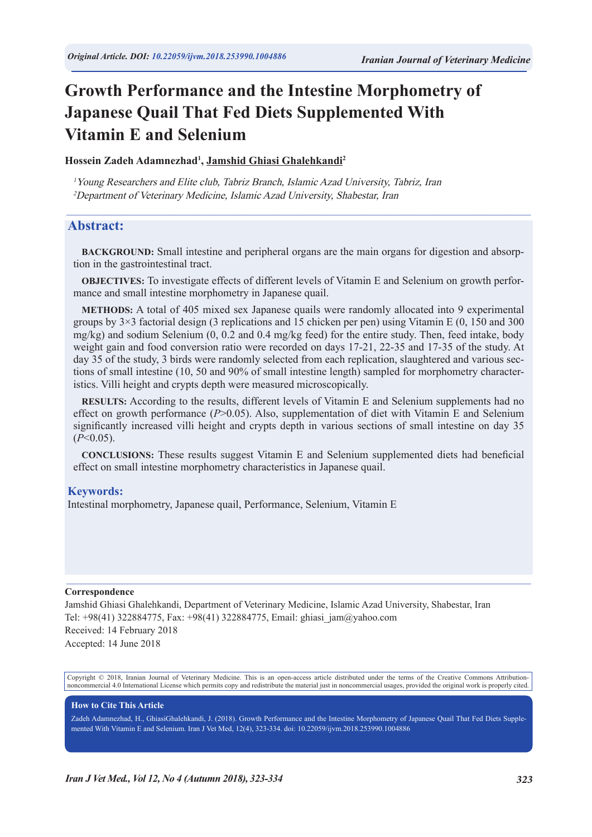# **Growth Performance and the Intestine Morphometry of Japanese Quail That Fed Diets Supplemented With Vitamin E and Selenium**

**Hossein Zadeh Adamnezhad<sup>1</sup> , Jamshid Ghiasi Ghalehkandi2**

<sup>1</sup>Young Researchers and Elite club, Tabriz Branch, Islamic Azad University, Tabriz, Iran <sup>2</sup>Department of Veterinary Medicine, Islamic Azad University, Shabestar, Iran

#### **Abstract:**

**BACKGROUND:** Small intestine and peripheral organs are the main organs for digestion and absorption in the gastrointestinal tract.

 $\mathcal{L}_\mathcal{L} = \{ \mathcal{L}_\mathcal{L} = \{ \mathcal{L}_\mathcal{L} = \{ \mathcal{L}_\mathcal{L} = \{ \mathcal{L}_\mathcal{L} = \{ \mathcal{L}_\mathcal{L} = \{ \mathcal{L}_\mathcal{L} = \{ \mathcal{L}_\mathcal{L} = \{ \mathcal{L}_\mathcal{L} = \{ \mathcal{L}_\mathcal{L} = \{ \mathcal{L}_\mathcal{L} = \{ \mathcal{L}_\mathcal{L} = \{ \mathcal{L}_\mathcal{L} = \{ \mathcal{L}_\mathcal{L} = \{ \mathcal{L}_\mathcal{$ 

**OBJECTIVES:** To investigate effects of different levels of Vitamin E and Selenium on growth performance and small intestine morphometry in Japanese quail.

**METHODS:** A total of 405 mixed sex Japanese quails were randomly allocated into 9 experimental groups by  $3\times3$  factorial design (3 replications and 15 chicken per pen) using Vitamin E (0, 150 and 300 mg/kg) and sodium Selenium (0, 0.2 and 0.4 mg/kg feed) for the entire study. Then, feed intake, body weight gain and food conversion ratio were recorded on days 17-21, 22-35 and 17-35 of the study. At day 35 of the study, 3 birds were randomly selected from each replication, slaughtered and various sections of small intestine (10, 50 and 90% of small intestine length) sampled for morphometry characteristics. Villi height and crypts depth were measured microscopically.

**RESULTS:** According to the results, different levels of Vitamin E and Selenium supplements had no effect on growth performance (*P*>0.05). Also, supplementation of diet with Vitamin E and Selenium significantly increased villi height and crypts depth in various sections of small intestine on day 35  $(P<0.05)$ .

**CONCLUSIONS:** These results suggest Vitamin E and Selenium supplemented diets had beneficial effect on small intestine morphometry characteristics in Japanese quail.

#### **Keywords:**

Intestinal morphometry, Japanese quail, Performance, Selenium, Vitamin E

#### **Correspondence**

Jamshid Ghiasi Ghalehkandi, Department of Veterinary Medicine, Islamic Azad University, Shabestar, Iran Tel: +98(41) 322884775, Fax: +98(41) 322884775, Email: ghiasi\_jam@yahoo.com Received: 14 February 2018 Accepted: 14 June 2018

Copyright © 2018, Iranian Journal of Veterinary Medicine. This is an open-access article distributed under the terms of the Creative Commons Attributionnoncommercial 4.0 International License which permits copy and redistribute the material just in noncommercial usages, provided the original work is properly cited.

 $\mathcal{L}_\mathcal{L} = \mathcal{L}_\mathcal{L} = \mathcal{L}_\mathcal{L} = \mathcal{L}_\mathcal{L} = \mathcal{L}_\mathcal{L} = \mathcal{L}_\mathcal{L} = \mathcal{L}_\mathcal{L} = \mathcal{L}_\mathcal{L} = \mathcal{L}_\mathcal{L} = \mathcal{L}_\mathcal{L} = \mathcal{L}_\mathcal{L} = \mathcal{L}_\mathcal{L} = \mathcal{L}_\mathcal{L} = \mathcal{L}_\mathcal{L} = \mathcal{L}_\mathcal{L} = \mathcal{L}_\mathcal{L} = \mathcal{L}_\mathcal{L}$ 

#### **How to Cite This Article**

Zadeh Adamnezhad, H., GhiasiGhalehkandi, J. (2018). Growth Performance and the Intestine Morphometry of Japanese Quail That Fed Diets Supplemented With Vitamin E and Selenium. Iran J Vet Med, 12(4), 323-334. doi: 10.22059/ijvm.2018.253990.1004886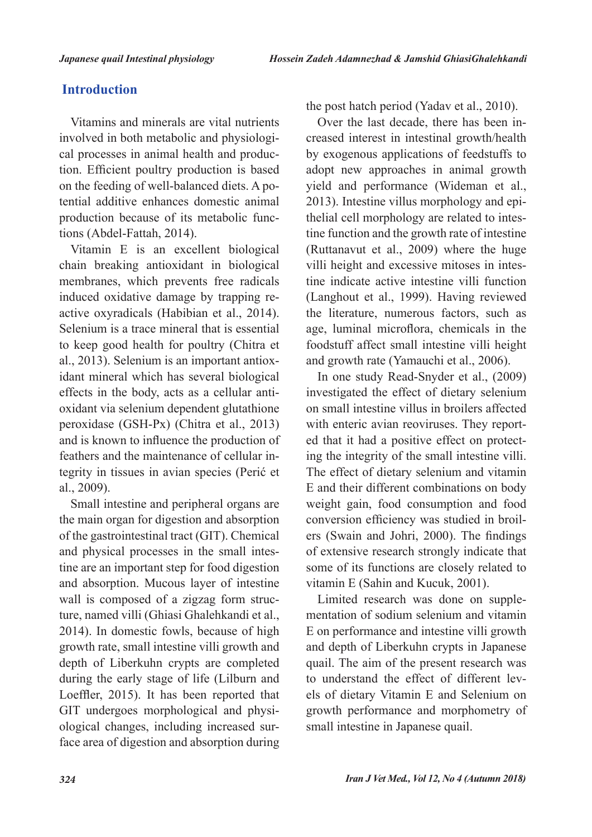# **Introduction**

Vitamins and minerals are vital nutrients involved in both metabolic and physiological processes in animal health and production. Efficient poultry production is based on the feeding of well-balanced diets. A potential additive enhances domestic animal production because of its metabolic functions (Abdel-Fattah, 2014).

Vitamin E is an excellent biological chain breaking antioxidant in biological membranes, which prevents free radicals induced oxidative damage by trapping reactive oxyradicals (Habibian et al., 2014). Selenium is a trace mineral that is essential to keep good health for poultry (Chitra et al., 2013). Selenium is an important antioxidant mineral which has several biological effects in the body, acts as a cellular antioxidant via selenium dependent glutathione peroxidase (GSH-Px) (Chitra et al., 2013) and is known to influence the production of feathers and the maintenance of cellular integrity in tissues in avian species (Perić et al., 2009).

Small intestine and peripheral organs are the main organ for digestion and absorption of the gastrointestinal tract (GIT). Chemical and physical processes in the small intestine are an important step for food digestion and absorption. Mucous layer of intestine wall is composed of a zigzag form structure, named villi (Ghiasi Ghalehkandi et al., 2014). In domestic fowls, because of high growth rate, small intestine villi growth and depth of Liberkuhn crypts are completed during the early stage of life (Lilburn and Loeffler, 2015). It has been reported that GIT undergoes morphological and physiological changes, including increased surface area of digestion and absorption during the post hatch period (Yadav et al., 2010).

Over the last decade, there has been increased interest in intestinal growth/health by exogenous applications of feedstuffs to adopt new approaches in animal growth yield and performance (Wideman et al., 2013). Intestine villus morphology and epithelial cell morphology are related to intestine function and the growth rate of intestine (Ruttanavut et al., 2009) where the huge villi height and excessive mitoses in intestine indicate active intestine villi function (Langhout et al., 1999). Having reviewed the literature, numerous factors, such as age, luminal microflora, chemicals in the foodstuff affect small intestine villi height and growth rate (Yamauchi et al., 2006).

In one study Read-Snyder et al., (2009) investigated the effect of dietary selenium on small intestine villus in broilers affected with enteric avian reoviruses. They reported that it had a positive effect on protecting the integrity of the small intestine villi. The effect of dietary selenium and vitamin E and their different combinations on body weight gain, food consumption and food conversion efficiency was studied in broilers (Swain and Johri, 2000). The findings of extensive research strongly indicate that some of its functions are closely related to vitamin E (Sahin and Kucuk, 2001).

Limited research was done on supplementation of sodium selenium and vitamin E on performance and intestine villi growth and depth of Liberkuhn crypts in Japanese quail. The aim of the present research was to understand the effect of different levels of dietary Vitamin E and Selenium on growth performance and morphometry of small intestine in Japanese quail.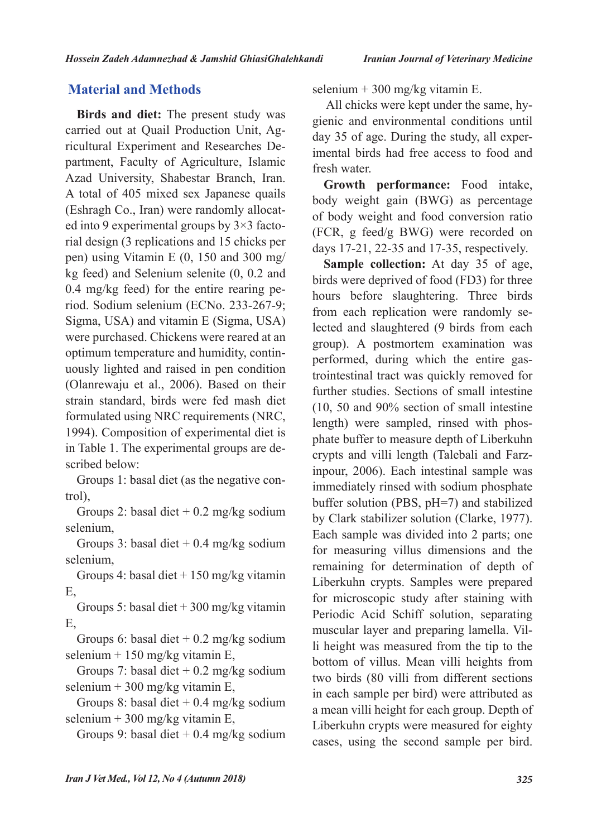# **Material and Methods**

**Birds and diet:** The present study was carried out at Quail Production Unit, Agricultural Experiment and Researches Department, Faculty of Agriculture, Islamic Azad University, Shabestar Branch, Iran. A total of 405 mixed sex Japanese quails (Eshragh Co., Iran) were randomly allocated into 9 experimental groups by 3×3 factorial design (3 replications and 15 chicks per pen) using Vitamin E (0, 150 and 300 mg/ kg feed) and Selenium selenite (0, 0.2 and 0.4 mg/kg feed) for the entire rearing period. Sodium selenium (ECNo. 233-267-9; Sigma, USA) and vitamin E (Sigma, USA) were purchased. Chickens were reared at an optimum temperature and humidity, continuously lighted and raised in pen condition (Olanrewaju et al., 2006). Based on their strain standard, birds were fed mash diet formulated using NRC requirements (NRC, 1994). Composition of experimental diet is in Table 1. The experimental groups are described below:

Groups 1: basal diet (as the negative control),

Groups 2: basal diet  $+ 0.2$  mg/kg sodium selenium,

Groups 3: basal diet  $+ 0.4$  mg/kg sodium selenium,

Groups 4: basal diet + 150 mg/kg vitamin E,

Groups 5: basal diet + 300 mg/kg vitamin E,

Groups 6: basal diet  $+ 0.2$  mg/kg sodium selenium + 150 mg/kg vitamin E,

Groups 7: basal diet  $+ 0.2$  mg/kg sodium selenium + 300 mg/kg vitamin E,

Groups 8: basal diet + 0.4 mg/kg sodium selenium + 300 mg/kg vitamin E,

Groups 9: basal diet  $+ 0.4$  mg/kg sodium

selenium + 300 mg/kg vitamin E.

 All chicks were kept under the same, hygienic and environmental conditions until day 35 of age. During the study, all experimental birds had free access to food and fresh water.

**Growth performance:** Food intake, body weight gain (BWG) as percentage of body weight and food conversion ratio (FCR, g feed/g BWG) were recorded on days 17-21, 22-35 and 17-35, respectively.

**Sample collection:** At day 35 of age, birds were deprived of food (FD3) for three hours before slaughtering. Three birds from each replication were randomly selected and slaughtered (9 birds from each group). A postmortem examination was performed, during which the entire gastrointestinal tract was quickly removed for further studies. Sections of small intestine (10, 50 and 90% section of small intestine length) were sampled, rinsed with phosphate buffer to measure depth of Liberkuhn crypts and villi length (Talebali and Farzinpour, 2006). Each intestinal sample was immediately rinsed with sodium phosphate buffer solution (PBS, pH=7) and stabilized by Clark stabilizer solution (Clarke, 1977). Each sample was divided into 2 parts; one for measuring villus dimensions and the remaining for determination of depth of Liberkuhn crypts. Samples were prepared for microscopic study after staining with Periodic Acid Schiff solution, separating muscular layer and preparing lamella. Villi height was measured from the tip to the bottom of villus. Mean villi heights from two birds (80 villi from different sections in each sample per bird) were attributed as a mean villi height for each group. Depth of Liberkuhn crypts were measured for eighty cases, using the second sample per bird.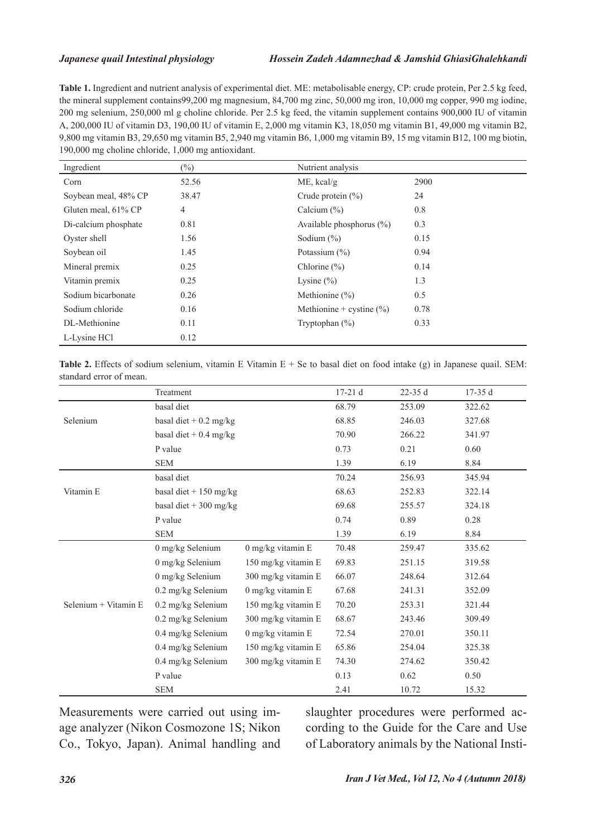**Table 1.** Ingredient and nutrient analysis of experimental diet. ME: metabolisable energy, CP: crude protein, Per 2.5 kg feed, the mineral supplement contains99,200 mg magnesium, 84,700 mg zinc, 50,000 mg iron, 10,000 mg copper, 990 mg iodine, 200 mg selenium, 250,000 ml g choline chloride. Per 2.5 kg feed, the vitamin supplement contains 900,000 IU of vitamin A, 200,000 IU of vitamin D3, 190,00 IU of vitamin E, 2,000 mg vitamin K3, 18,050 mg vitamin B1, 49,000 mg vitamin B2, 9,800 mg vitamin B3, 29,650 mg vitamin B5, 2,940 mg vitamin B6, 1,000 mg vitamin B9, 15 mg vitamin B12, 100 mg biotin, 190,000 mg choline chloride, 1,000 mg antioxidant.

| Ingredient           | $(\%)$         | Nutrient analysis            |      |
|----------------------|----------------|------------------------------|------|
| Corn                 | 52.56          | $ME$ , kcal/g                | 2900 |
| Soybean meal, 48% CP | 38.47          | Crude protein $(\% )$        | 24   |
| Gluten meal, 61% CP  | $\overline{4}$ | Calcium $(\% )$              | 0.8  |
| Di-calcium phosphate | 0.81           | Available phosphorus $(\% )$ | 0.3  |
| Oyster shell         | 1.56           | Sodium $(\%)$                | 0.15 |
| Soybean oil          | 1.45           | Potassium $(\% )$            | 0.94 |
| Mineral premix       | 0.25           | Chlorine $(\% )$             | 0.14 |
| Vitamin premix       | 0.25           | Lysine $(\% )$               | 1.3  |
| Sodium bicarbonate   | 0.26           | Methionine $(\% )$           | 0.5  |
| Sodium chloride      | 0.16           | Methionine + cystine $(\% )$ | 0.78 |
| DL-Methionine        | 0.11           | Tryptophan $(\%)$            | 0.33 |
| L-Lysine HCl         | 0.12           |                              |      |

**Table 2.** Effects of sodium selenium, vitamin E Vitamin  $E + Se$  to basal diet on food intake (g) in Japanese quail. SEM: standard error of mean.

|                      | Treatment                        |                     | $17-21d$ | $22-35d$ | $17-35d$ |
|----------------------|----------------------------------|---------------------|----------|----------|----------|
|                      | basal diet                       |                     | 68.79    | 253.09   | 322.62   |
| Selenium             | basal diet + $0.2 \text{ mg/kg}$ |                     |          | 246.03   | 327.68   |
|                      | basal diet + $0.4$ mg/kg         |                     | 70.90    | 266.22   | 341.97   |
|                      | P value                          |                     | 0.73     | 0.21     | 0.60     |
|                      | <b>SEM</b>                       |                     | 1.39     | 6.19     | 8.84     |
|                      | basal diet                       |                     | 70.24    | 256.93   | 345.94   |
| Vitamin E            | basal diet + $150$ mg/kg         |                     | 68.63    | 252.83   | 322.14   |
|                      | basal diet + 300 mg/kg           |                     | 69.68    | 255.57   | 324.18   |
|                      | P value                          |                     | 0.74     | 0.89     | 0.28     |
|                      | <b>SEM</b>                       |                     | 1.39     | 6.19     | 8.84     |
| Selenium + Vitamin E | 0 mg/kg Selenium                 | 0 mg/kg vitamin E   | 70.48    | 259.47   | 335.62   |
|                      | $0$ mg/kg Selenium               | 150 mg/kg vitamin E | 69.83    | 251.15   | 319.58   |
|                      | 0 mg/kg Selenium                 | 300 mg/kg vitamin E | 66.07    | 248.64   | 312.64   |
|                      | 0.2 mg/kg Selenium               | 0 mg/kg vitamin E   | 67.68    | 241.31   | 352.09   |
|                      | 0.2 mg/kg Selenium               | 150 mg/kg vitamin E | 70.20    | 253.31   | 321.44   |
|                      | 0.2 mg/kg Selenium               | 300 mg/kg vitamin E | 68.67    | 243.46   | 309.49   |
|                      | 0.4 mg/kg Selenium               | 0 mg/kg vitamin E   | 72.54    | 270.01   | 350.11   |
|                      | 0.4 mg/kg Selenium               | 150 mg/kg vitamin E | 65.86    | 254.04   | 325.38   |
|                      | 0.4 mg/kg Selenium               | 300 mg/kg vitamin E | 74.30    | 274.62   | 350.42   |
|                      | P value                          |                     | 0.13     | 0.62     | 0.50     |
|                      | <b>SEM</b>                       |                     | 2.41     | 10.72    | 15.32    |

Measurements were carried out using image analyzer (Nikon Cosmozone 1S; Nikon Co., Tokyo, Japan). Animal handling and slaughter procedures were performed according to the Guide for the Care and Use of Laboratory animals by the National Insti-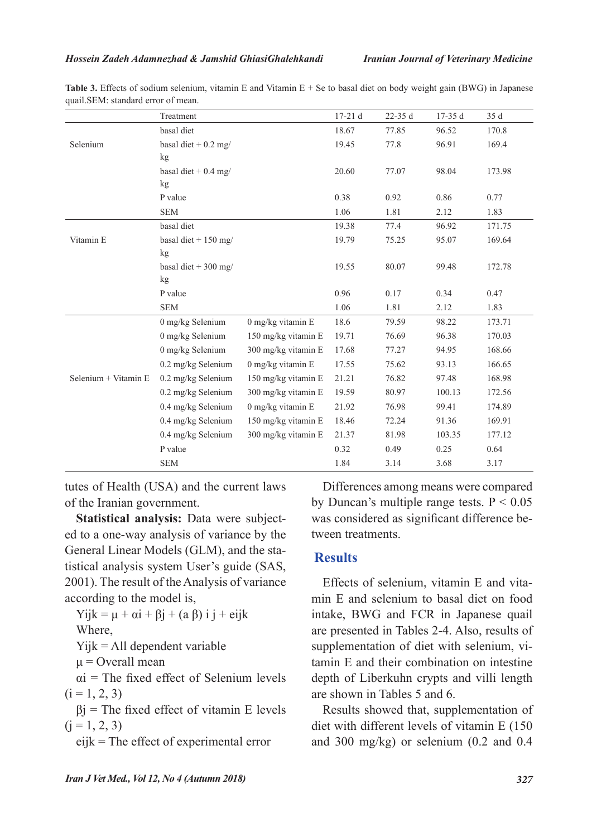|                      | Treatment              |                     | 17-21 d | $22-35d$ | $17-35d$ | 35 d   |
|----------------------|------------------------|---------------------|---------|----------|----------|--------|
|                      | basal diet             |                     | 18.67   | 77.85    | 96.52    | 170.8  |
| Selenium             | basal diet + $0.2$ mg/ |                     | 19.45   | 77.8     | 96.91    | 169.4  |
|                      | kg                     |                     |         |          |          |        |
|                      | basal diet + $0.4$ mg/ |                     | 20.60   | 77.07    | 98.04    | 173.98 |
|                      | kg                     |                     |         |          |          |        |
|                      | P value                |                     | 0.38    | 0.92     | 0.86     | 0.77   |
|                      | <b>SEM</b>             |                     | 1.06    | 1.81     | 2.12     | 1.83   |
|                      | basal diet             |                     | 19.38   | 77.4     | 96.92    | 171.75 |
| Vitamin E            | basal diet + $150$ mg/ |                     | 19.79   | 75.25    | 95.07    | 169.64 |
|                      | kg                     |                     |         |          |          |        |
|                      | basal diet + 300 mg/   |                     | 19.55   | 80.07    | 99.48    | 172.78 |
|                      | kg                     |                     |         |          |          |        |
|                      | P value                |                     | 0.96    | 0.17     | 0.34     | 0.47   |
|                      | <b>SEM</b>             |                     | 1.06    | 1.81     | 2.12     | 1.83   |
|                      | 0 mg/kg Selenium       | 0 mg/kg vitamin E   | 18.6    | 79.59    | 98.22    | 173.71 |
|                      | 0 mg/kg Selenium       | 150 mg/kg vitamin E | 19.71   | 76.69    | 96.38    | 170.03 |
|                      | 0 mg/kg Selenium       | 300 mg/kg vitamin E | 17.68   | 77.27    | 94.95    | 168.66 |
|                      | 0.2 mg/kg Selenium     | $0$ mg/kg vitamin E | 17.55   | 75.62    | 93.13    | 166.65 |
| Selenium + Vitamin E | 0.2 mg/kg Selenium     | 150 mg/kg vitamin E | 21.21   | 76.82    | 97.48    | 168.98 |
|                      | 0.2 mg/kg Selenium     | 300 mg/kg vitamin E | 19.59   | 80.97    | 100.13   | 172.56 |
|                      | 0.4 mg/kg Selenium     | $0$ mg/kg vitamin E | 21.92   | 76.98    | 99.41    | 174.89 |
|                      | 0.4 mg/kg Selenium     | 150 mg/kg vitamin E | 18.46   | 72.24    | 91.36    | 169.91 |
|                      | 0.4 mg/kg Selenium     | 300 mg/kg vitamin E | 21.37   | 81.98    | 103.35   | 177.12 |
|                      | P value                |                     | 0.32    | 0.49     | 0.25     | 0.64   |
|                      | <b>SEM</b>             |                     | 1.84    | 3.14     | 3.68     | 3.17   |

**Table 3.** Effects of sodium selenium, vitamin E and Vitamin E + Se to basal diet on body weight gain (BWG) in Japanese quail.SEM: standard error of mean.

tutes of Health (USA) and the current laws of the Iranian government.

**Statistical analysis:** Data were subjected to a one-way analysis of variance by the General Linear Models (GLM), and the statistical analysis system User's guide (SAS, 2001). The result of the Analysis of variance according to the model is,

```
Yijk = \mu + \alpha i + \beta j + (a \beta) i j + \text{e} i j k
```
Where,

Yijk = All dependent variable

 $\mu$  = Overall mean

 $\alpha$ i = The fixed effect of Selenium levels  $(i = 1, 2, 3)$ 

 $\beta$ j = The fixed effect of vitamin E levels  $(i = 1, 2, 3)$ 

eijk = The effect of experimental error

Differences among means were compared by Duncan's multiple range tests.  $P < 0.05$ was considered as significant difference between treatments.

# **Results**

Effects of selenium, vitamin E and vitamin E and selenium to basal diet on food intake, BWG and FCR in Japanese quail are presented in Tables 2-4. Also, results of supplementation of diet with selenium, vitamin E and their combination on intestine depth of Liberkuhn crypts and villi length are shown in Tables 5 and 6.

Results showed that, supplementation of diet with different levels of vitamin E (150 and 300 mg/kg) or selenium (0.2 and 0.4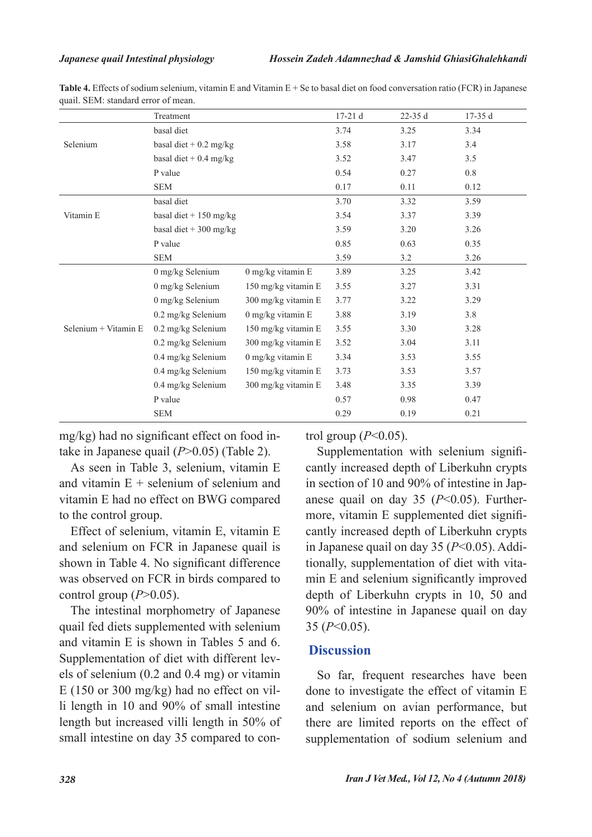|                      | Treatment                    |                     | $17-21d$ | $22-35d$ | $17-35d$ |
|----------------------|------------------------------|---------------------|----------|----------|----------|
|                      | basal diet                   |                     | 3.74     | 3.25     | 3.34     |
| Selenium             | basal diet + $0.2$ mg/kg     |                     | 3.58     | 3.17     | 3.4      |
|                      | basal diet + $0.4$ mg/kg     |                     | 3.52     | 3.47     | 3.5      |
|                      | P value                      |                     | 0.54     | 0.27     | 0.8      |
|                      | <b>SEM</b>                   |                     | 0.17     | 0.11     | 0.12     |
|                      | basal diet                   |                     | 3.70     | 3.32     | 3.59     |
| Vitamin E            | basal diet + $150$ mg/kg     |                     | 3.54     | 3.37     | 3.39     |
|                      | basal diet + 300 mg/kg       |                     | 3.59     | 3.20     | 3.26     |
|                      | P value                      |                     | 0.85     | 0.63     | 0.35     |
|                      | <b>SEM</b>                   |                     | 3.59     | 3.2      | 3.26     |
| Selenium + Vitamin E | $0$ mg/kg Selenium           | $0$ mg/kg vitamin E | 3.89     | 3.25     | 3.42     |
|                      | 0 mg/kg Selenium             | 150 mg/kg vitamin E | 3.55     | 3.27     | 3.31     |
|                      | 0 mg/kg Selenium             | 300 mg/kg vitamin E | 3.77     | 3.22     | 3.29     |
|                      | $0.2 \text{ mg/kg}$ Selenium | $0$ mg/kg vitamin E | 3.88     | 3.19     | 3.8      |
|                      | $0.2$ mg/kg Selenium         | 150 mg/kg vitamin E | 3.55     | 3.30     | 3.28     |
|                      | $0.2$ mg/kg Selenium         | 300 mg/kg vitamin E | 3.52     | 3.04     | 3.11     |
|                      | 0.4 mg/kg Selenium           | 0 mg/kg vitamin E   | 3.34     | 3.53     | 3.55     |
|                      | 0.4 mg/kg Selenium           | 150 mg/kg vitamin E | 3.73     | 3.53     | 3.57     |
|                      | $0.4$ mg/kg Selenium         | 300 mg/kg vitamin E | 3.48     | 3.35     | 3.39     |
|                      | P value                      |                     | 0.57     | 0.98     | 0.47     |
|                      | <b>SEM</b>                   |                     | 0.29     | 0.19     | 0.21     |

**Table 4.** Effects of sodium selenium, vitamin E and Vitamin E + Se to basal diet on food conversation ratio (FCR) in Japanese quail. SEM: standard error of mean.

mg/kg) had no significant effect on food intake in Japanese quail (*P*>0.05) (Table 2).

As seen in Table 3, selenium, vitamin E and vitamin  $E +$  selenium of selenium and vitamin E had no effect on BWG compared to the control group.

Effect of selenium, vitamin E, vitamin E and selenium on FCR in Japanese quail is shown in Table 4. No significant difference was observed on FCR in birds compared to control group  $(P>0.05)$ .

The intestinal morphometry of Japanese quail fed diets supplemented with selenium and vitamin E is shown in Tables 5 and 6. Supplementation of diet with different levels of selenium (0.2 and 0.4 mg) or vitamin E (150 or 300 mg/kg) had no effect on villi length in 10 and 90% of small intestine length but increased villi length in 50% of small intestine on day 35 compared to control group (*P*<0.05).

Supplementation with selenium significantly increased depth of Liberkuhn crypts in section of 10 and 90% of intestine in Japanese quail on day 35 (*P*<0.05). Furthermore, vitamin E supplemented diet significantly increased depth of Liberkuhn crypts in Japanese quail on day 35 (*P*<0.05). Additionally, supplementation of diet with vitamin E and selenium significantly improved depth of Liberkuhn crypts in 10, 50 and 90% of intestine in Japanese quail on day 35 (*P*<0.05).

## **Discussion**

So far, frequent researches have been done to investigate the effect of vitamin E and selenium on avian performance, but there are limited reports on the effect of supplementation of sodium selenium and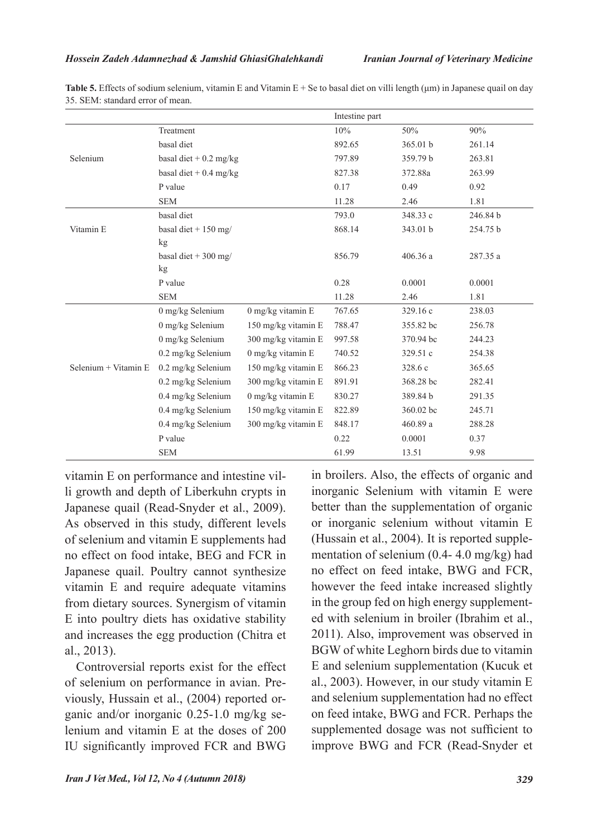|                      |                                  |                     | Intestine part |           |          |
|----------------------|----------------------------------|---------------------|----------------|-----------|----------|
|                      | Treatment                        |                     | 10%            | 50%       | 90%      |
|                      | basal diet                       |                     | 892.65         | 365.01 b  | 261.14   |
| Selenium             | basal diet + $0.2 \text{ mg/kg}$ |                     | 797.89         | 359.79 b  | 263.81   |
|                      | basal diet + $0.4$ mg/kg         |                     | 827.38         | 372.88a   | 263.99   |
|                      | P value                          |                     | 0.17           | 0.49      | 0.92     |
|                      | <b>SEM</b>                       |                     | 11.28          | 2.46      | 1.81     |
|                      | basal diet                       |                     | 793.0          | 348.33 c  | 246.84 b |
| Vitamin E            | basal diet + $150$ mg/           |                     | 868.14         | 343.01 b  | 254.75 b |
|                      | kg                               |                     |                |           |          |
|                      | basal diet + 300 mg/             |                     | 856.79         | 406.36 a  | 287.35 a |
|                      | kg                               |                     |                |           |          |
|                      | P value                          |                     | 0.28           | 0.0001    | 0.0001   |
|                      | <b>SEM</b>                       |                     | 11.28          | 2.46      | 1.81     |
|                      | $0$ mg/kg Selenium               | 0 mg/kg vitamin E   | 767.65         | 329.16c   | 238.03   |
|                      | 0 mg/kg Selenium                 | 150 mg/kg vitamin E | 788.47         | 355.82 bc | 256.78   |
|                      | 0 mg/kg Selenium                 | 300 mg/kg vitamin E | 997.58         | 370.94 bc | 244.23   |
|                      | 0.2 mg/kg Selenium               | 0 mg/kg vitamin E   | 740.52         | 329.51 c  | 254.38   |
| Selenium + Vitamin E | 0.2 mg/kg Selenium               | 150 mg/kg vitamin E | 866.23         | 328.6 c   | 365.65   |
|                      | 0.2 mg/kg Selenium               | 300 mg/kg vitamin E | 891.91         | 368.28 bc | 282.41   |
|                      | 0.4 mg/kg Selenium               | 0 mg/kg vitamin E   | 830.27         | 389.84 b  | 291.35   |
|                      | 0.4 mg/kg Selenium               | 150 mg/kg vitamin E | 822.89         | 360.02 bc | 245.71   |
|                      | $0.4$ mg/kg Selenium             | 300 mg/kg vitamin E | 848.17         | 460.89 a  | 288.28   |
|                      | P value                          |                     | 0.22           | 0.0001    | 0.37     |
|                      | <b>SEM</b>                       |                     | 61.99          | 13.51     | 9.98     |

**Table 5.** Effects of sodium selenium, vitamin E and Vitamin E + Se to basal diet on villi length ( $\mu$ m) in Japanese quail on day 35. SEM: standard error of mean.

vitamin E on performance and intestine villi growth and depth of Liberkuhn crypts in Japanese quail (Read-Snyder et al., 2009). As observed in this study, different levels of selenium and vitamin E supplements had no effect on food intake, BEG and FCR in Japanese quail. Poultry cannot synthesize vitamin E and require adequate vitamins from dietary sources. Synergism of vitamin E into poultry diets has oxidative stability and increases the egg production (Chitra et al., 2013).

Controversial reports exist for the effect of selenium on performance in avian. Previously, Hussain et al., (2004) reported organic and/or inorganic 0.25-1.0 mg/kg selenium and vitamin E at the doses of 200 IU significantly improved FCR and BWG

in broilers. Also, the effects of organic and inorganic Selenium with vitamin E were better than the supplementation of organic or inorganic selenium without vitamin E (Hussain et al., 2004). It is reported supplementation of selenium (0.4- 4.0 mg/kg) had no effect on feed intake, BWG and FCR, however the feed intake increased slightly in the group fed on high energy supplemented with selenium in broiler (Ibrahim et al., 2011). Also, improvement was observed in BGW of white Leghorn birds due to vitamin E and selenium supplementation (Kucuk et al., 2003). However, in our study vitamin E and selenium supplementation had no effect on feed intake, BWG and FCR. Perhaps the supplemented dosage was not sufficient to improve BWG and FCR (Read-Snyder et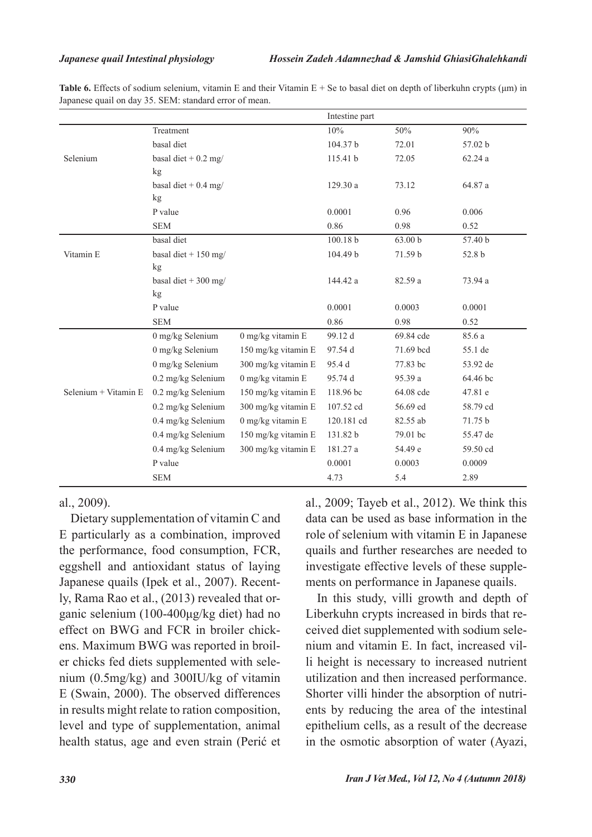**Table 6.** Effects of sodium selenium, vitamin E and their Vitamin E + Se to basal diet on depth of liberkuhn crypts (μm) in Japanese quail on day 35. SEM: standard error of mean.

|                      | Intestine part         |                             |            |           |          |
|----------------------|------------------------|-----------------------------|------------|-----------|----------|
|                      | Treatment              |                             | 10%        | 50%       | 90%      |
|                      | basal diet             |                             | 104.37 b   | 72.01     | 57.02 b  |
| Selenium             | basal diet + $0.2$ mg/ |                             | 115.41 b   | 72.05     | 62.24a   |
|                      | kg                     |                             |            |           |          |
|                      | basal diet + $0.4$ mg/ |                             | 129.30a    | 73.12     | 64.87 a  |
|                      | kg                     |                             |            |           |          |
|                      | P value                |                             | 0.0001     | 0.96      | 0.006    |
|                      | <b>SEM</b>             |                             | 0.86       | 0.98      | 0.52     |
|                      | basal diet             |                             | 100.18 b   | 63.00 b   | 57.40 b  |
| Vitamin E            | basal diet + $150$ mg/ |                             | 104.49 b   | 71.59 b   | 52.8 b   |
|                      | kg                     |                             |            |           |          |
|                      | basal diet + 300 mg/   |                             | 144.42 a   | 82.59 a   | 73.94 a  |
|                      | kg                     |                             |            |           |          |
|                      | P value                |                             | 0.0001     | 0.0003    | 0.0001   |
|                      | <b>SEM</b>             |                             | 0.86       | 0.98      | 0.52     |
|                      | 0 mg/kg Selenium       | $0$ mg/kg vitamin ${\rm E}$ | 99.12 d    | 69.84 cde | 85.6 a   |
|                      | 0 mg/kg Selenium       | 150 mg/kg vitamin E         | 97.54 d    | 71.69 bcd | 55.1 de  |
|                      | 0 mg/kg Selenium       | 300 mg/kg vitamin E         | 95.4 d     | 77.83 bc  | 53.92 de |
|                      | 0.2 mg/kg Selenium     | 0 mg/kg vitamin E           | 95.74 d    | 95.39 a   | 64.46 bc |
| Selenium + Vitamin E | 0.2 mg/kg Selenium     | 150 mg/kg vitamin E         | 118.96 bc  | 64.08 cde | 47.81 e  |
|                      | 0.2 mg/kg Selenium     | 300 mg/kg vitamin E         | 107.52 cd  | 56.69 ed  | 58.79 cd |
|                      | 0.4 mg/kg Selenium     | $0$ mg/kg vitamin E         | 120.181 cd | 82.55 ab  | 71.75 b  |
|                      | 0.4 mg/kg Selenium     | 150 mg/kg vitamin E         | 131.82 b   | 79.01 bc  | 55.47 de |
|                      | 0.4 mg/kg Selenium     | 300 mg/kg vitamin E         | 181.27 a   | 54.49 e   | 59.50 cd |
|                      | P value                |                             | 0.0001     | 0.0003    | 0.0009   |
|                      | <b>SEM</b>             |                             | 4.73       | 5.4       | 2.89     |

al., 2009).

Dietary supplementation of vitamin C and E particularly as a combination, improved the performance, food consumption, FCR, eggshell and antioxidant status of laying Japanese quails (Ipek et al., 2007). Recently, Rama Rao et al., (2013) revealed that organic selenium (100-400μg/kg diet) had no effect on BWG and FCR in broiler chickens. Maximum BWG was reported in broiler chicks fed diets supplemented with selenium (0.5mg/kg) and 300IU/kg of vitamin E (Swain, 2000). The observed differences in results might relate to ration composition, level and type of supplementation, animal health status, age and even strain (Perić et al., 2009; Tayeb et al., 2012). We think this data can be used as base information in the role of selenium with vitamin E in Japanese quails and further researches are needed to investigate effective levels of these supplements on performance in Japanese quails.

In this study, villi growth and depth of Liberkuhn crypts increased in birds that received diet supplemented with sodium selenium and vitamin E. In fact, increased villi height is necessary to increased nutrient utilization and then increased performance. Shorter villi hinder the absorption of nutrients by reducing the area of the intestinal epithelium cells, as a result of the decrease in the osmotic absorption of water (Ayazi,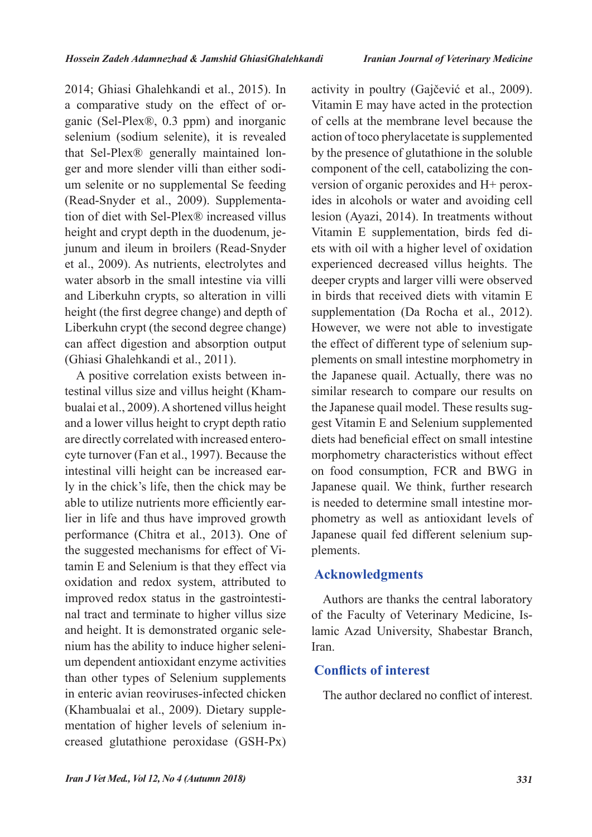2014; Ghiasi Ghalehkandi et al., 2015). In a comparative study on the effect of organic (Sel-Plex®, 0.3 ppm) and inorganic selenium (sodium selenite), it is revealed that Sel-Plex® generally maintained longer and more slender villi than either sodium selenite or no supplemental Se feeding (Read-Snyder et al., 2009). Supplementation of diet with Sel-Plex® increased villus height and crypt depth in the duodenum, jejunum and ileum in broilers (Read-Snyder et al., 2009). As nutrients, electrolytes and water absorb in the small intestine via villi and Liberkuhn crypts, so alteration in villi height (the first degree change) and depth of Liberkuhn crypt (the second degree change) can affect digestion and absorption output (Ghiasi Ghalehkandi et al., 2011).

A positive correlation exists between intestinal villus size and villus height (Khambualai et al., 2009). A shortened villus height and a lower villus height to crypt depth ratio are directly correlated with increased enterocyte turnover (Fan et al., 1997). Because the intestinal villi height can be increased early in the chick's life, then the chick may be able to utilize nutrients more efficiently earlier in life and thus have improved growth performance (Chitra et al., 2013). One of the suggested mechanisms for effect of Vitamin E and Selenium is that they effect via oxidation and redox system, attributed to improved redox status in the gastrointestinal tract and terminate to higher villus size and height. It is demonstrated organic selenium has the ability to induce higher selenium dependent antioxidant enzyme activities than other types of Selenium supplements in enteric avian reoviruses-infected chicken (Khambualai et al., 2009). Dietary supplementation of higher levels of selenium increased glutathione peroxidase (GSH-Px)

activity in poultry (Gajčević et al., 2009). Vitamin E may have acted in the protection of cells at the membrane level because the action of toco pherylacetate is supplemented by the presence of glutathione in the soluble component of the cell, catabolizing the conversion of organic peroxides and H+ peroxides in alcohols or water and avoiding cell lesion (Ayazi, 2014). In treatments without Vitamin E supplementation, birds fed diets with oil with a higher level of oxidation experienced decreased villus heights. The deeper crypts and larger villi were observed in birds that received diets with vitamin E supplementation (Da Rocha et al., 2012). However, we were not able to investigate the effect of different type of selenium supplements on small intestine morphometry in the Japanese quail. Actually, there was no similar research to compare our results on the Japanese quail model. These results suggest Vitamin E and Selenium supplemented diets had beneficial effect on small intestine morphometry characteristics without effect on food consumption, FCR and BWG in Japanese quail. We think, further research is needed to determine small intestine morphometry as well as antioxidant levels of Japanese quail fed different selenium supplements.

## **Acknowledgments**

Authors are thanks the central laboratory of the Faculty of Veterinary Medicine, Islamic Azad University, Shabestar Branch, Iran.

# **Conflicts of interest**

The author declared no conflict of interest.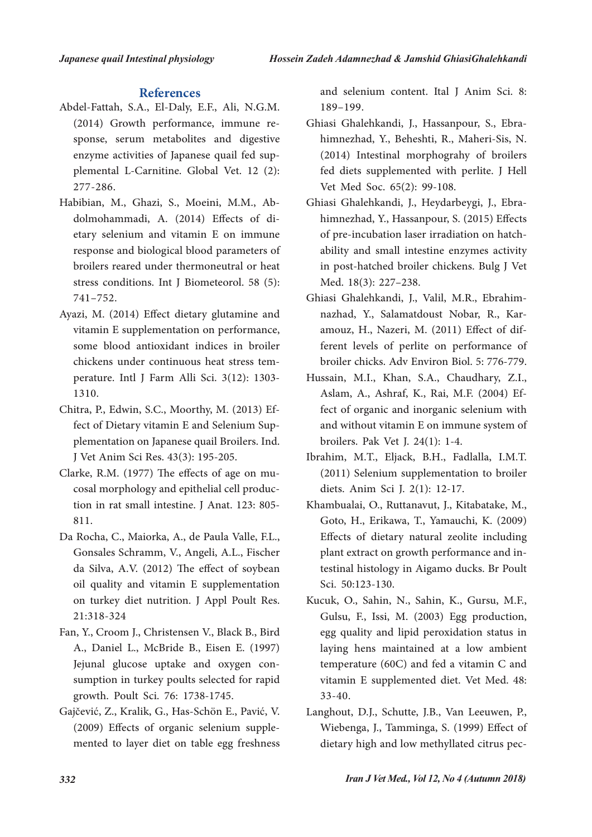- Abdel-Fattah, S.A., El-Daly, E.F., Ali, N.G.M. (2014) Growth performance, immune response, serum metabolites and digestive enzyme activities of Japanese quail fed supplemental L-Carnitine. Global Vet. 12 (2): 277-286.
- Habibian, M., Ghazi, S., Moeini, M.M., Abdolmohammadi, A. (2014) Effects of dietary selenium and vitamin E on immune response and biological blood parameters of broilers reared under thermoneutral or heat stress conditions. Int J Biometeorol. 58 (5): 741–752.
- Ayazi, M. (2014) Effect dietary glutamine and vitamin E supplementation on performance, some blood antioxidant indices in broiler chickens under continuous heat stress temperature. Intl J Farm Alli Sci. 3(12): 1303- 1310.
- Chitra, P., Edwin, S.C., Moorthy, M. (2013) Effect of Dietary vitamin E and Selenium Supplementation on Japanese quail Broilers. Ind. J Vet Anim Sci Res. 43(3): 195-205.
- Clarke, R.M. (1977) The effects of age on mucosal morphology and epithelial cell production in rat small intestine. J Anat. 123: 805- 811.
- Da Rocha, C., Maiorka, A., de Paula Valle, F.L., Gonsales Schramm, V., Angeli, A.L., Fischer da Silva, A.V. (2012) The effect of soybean oil quality and vitamin E supplementation on turkey diet nutrition. J Appl Poult Res. 21:318-324
- Fan, Y., Croom J., Christensen V., Black B., Bird A., Daniel L., McBride B., Eisen E. (1997) Jejunal glucose uptake and oxygen consumption in turkey poults selected for rapid growth. Poult Sci. 76: 1738-1745.
- Gajčević, Z., Kralik, G., Has-Schön E., Pavić, V. (2009) Effects of organic selenium supplemented to layer diet on table egg freshness

**References** and selenium content. Ital J Anim Sci. 8: 189–199.

- Ghiasi Ghalehkandi, J., Hassanpour, S., Ebrahimnezhad, Y., Beheshti, R., Maheri-Sis, N. (2014) Intestinal morphograhy of broilers fed diets supplemented with perlite. J Hell Vet Med Soc. 65(2): 99-108.
- Ghiasi Ghalehkandi, J., Heydarbeygi, J., Ebrahimnezhad, Y., Hassanpour, S. (2015) Effects of pre-incubation laser irradiation on hatchability and small intestine enzymes activity in post-hatched broiler chickens. Bulg J Vet Med. 18(3): 227–238.
- Ghiasi Ghalehkandi, J., Valil, M.R., Ebrahimnazhad, Y., Salamatdoust Nobar, R., Karamouz, H., Nazeri, M. (2011) Effect of different levels of perlite on performance of broiler chicks. Adv Environ Biol. 5: 776-779.
- Hussain, M.I., Khan, S.A., Chaudhary, Z.I., Aslam, A., Ashraf, K., Rai, M.F. (2004) Effect of organic and inorganic selenium with and without vitamin E on immune system of broilers. Pak Vet J. 24(1): 1-4.
- Ibrahim, M.T., Eljack, B.H., Fadlalla, I.M.T. (2011) Selenium supplementation to broiler diets. Anim Sci J. 2(1): 12-17.
- Khambualai, O., Ruttanavut, J., Kitabatake, M., Goto, H., Erikawa, T., Yamauchi, K. (2009) Effects of dietary natural zeolite including plant extract on growth performance and intestinal histology in Aigamo ducks. Br Poult Sci. 50:123-130.
- Kucuk, O., Sahin, N., Sahin, K., Gursu, M.F., Gulsu, F., Issi, M. (2003) Egg production, egg quality and lipid peroxidation status in laying hens maintained at a low ambient temperature (60C) and fed a vitamin C and vitamin E supplemented diet. Vet Med. 48: 33-40.
- Langhout, D.J., Schutte, J.B., Van Leeuwen, P., Wiebenga, J., Tamminga, S. (1999) Effect of dietary high and low methyllated citrus pec-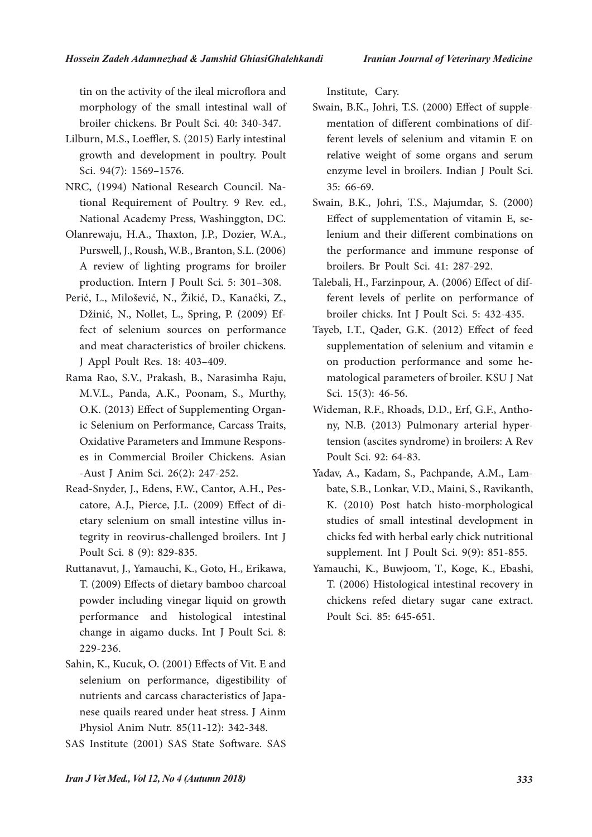tin on the activity of the ileal microflora and morphology of the small intestinal wall of broiler chickens. Br Poult Sci. 40: 340-347.

- Lilburn, M.S., Loeffler, S. (2015) Early intestinal growth and development in poultry. Poult Sci. 94(7): 1569–1576.
- NRC, (1994) National Research Council. National Requirement of Poultry. 9 Rev. ed., National Academy Press, Washinggton, DC.
- Olanrewaju, H.A., Thaxton, J.P., Dozier, W.A., Purswell, J., Roush, W.B., Branton, S.L. (2006) A review of lighting programs for broiler production. Intern J Poult Sci. 5: 301–308.
- Perić, L., Milošević, N., Žikić, D., Kanaćki, Z., Džinić, N., Nollet, L., Spring, P. (2009) Effect of selenium sources on performance and meat characteristics of broiler chickens. J Appl Poult Res. 18: 403–409.
- Rama Rao, S.V., Prakash, B., Narasimha Raju, M.V.L., Panda, A.K., Poonam, S., Murthy, O.K. (2013) Effect of Supplementing Organic Selenium on Performance, Carcass Traits, Oxidative Parameters and Immune Responses in Commercial Broiler Chickens. Asian -Aust J Anim Sci. 26(2): 247-252.
- Read-Snyder, J., Edens, F.W., Cantor, A.H., Pescatore, A.J., Pierce, J.L. (2009) Effect of dietary selenium on small intestine villus integrity in reovirus-challenged broilers. Int J Poult Sci. 8 (9): 829-835.
- Ruttanavut, J., Yamauchi, K., Goto, H., Erikawa, T. (2009) Effects of dietary bamboo charcoal powder including vinegar liquid on growth performance and histological intestinal change in aigamo ducks. Int J Poult Sci. 8: 229-236.
- Sahin, K., Kucuk, O. (2001) Effects of Vit. E and selenium on performance, digestibility of nutrients and carcass characteristics of Japanese quails reared under heat stress. J Ainm Physiol Anim Nutr. 85(11-12): 342-348.
- SAS Institute (2001) SAS State Software. SAS

Institute, Cary.

- Swain, B.K., Johri, T.S. (2000) Effect of supplementation of different combinations of different levels of selenium and vitamin E on relative weight of some organs and serum enzyme level in broilers. Indian J Poult Sci. 35: 66-69.
- Swain, B.K., Johri, T.S., Majumdar, S. (2000) Effect of supplementation of vitamin E, selenium and their different combinations on the performance and immune response of broilers. Br Poult Sci. 41: 287-292.
- Talebali, H., Farzinpour, A. (2006) Effect of different levels of perlite on performance of broiler chicks. Int J Poult Sci. 5: 432-435.
- Tayeb, I.T., Qader, G.K. (2012) Effect of feed supplementation of selenium and vitamin e on production performance and some hematological parameters of broiler. KSU J Nat Sci. 15(3): 46-56.
- Wideman, R.F., Rhoads, D.D., Erf, G.F., Anthony, N.B. (2013) Pulmonary arterial hypertension (ascites syndrome) in broilers: A Rev Poult Sci. 92: 64-83.
- Yadav, A., Kadam, S., Pachpande, A.M., Lambate, S.B., Lonkar, V.D., Maini, S., Ravikanth, K. (2010) Post hatch histo-morphological studies of small intestinal development in chicks fed with herbal early chick nutritional supplement. Int J Poult Sci. 9(9): 851-855.
- Yamauchi, K., Buwjoom, T., Koge, K., Ebashi, T. (2006) Histological intestinal recovery in chickens refed dietary sugar cane extract. Poult Sci. 85: 645-651.